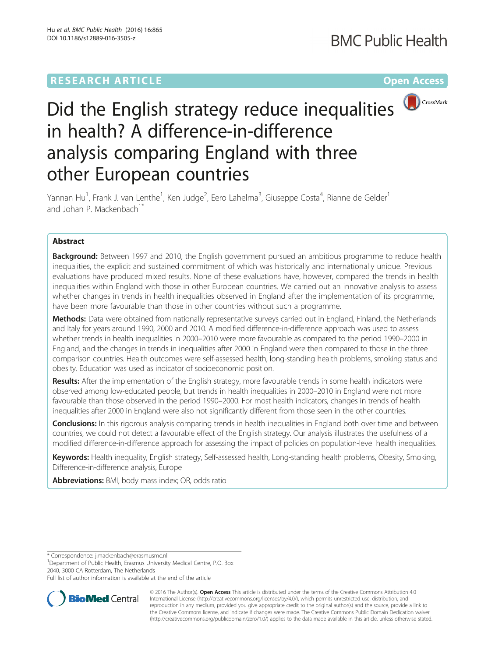

# Did the English strategy reduce inequalities in health? A difference-in-difference analysis comparing England with three other European countries

Yannan Hu<sup>1</sup>, Frank J. van Lenthe<sup>1</sup>, Ken Judge<sup>2</sup>, Eero Lahelma<sup>3</sup>, Giuseppe Costa<sup>4</sup>, Rianne de Gelder<sup>1</sup> and Johan P. Mackenbach<sup>1</sup>

# Abstract

**Background:** Between 1997 and 2010, the English government pursued an ambitious programme to reduce health inequalities, the explicit and sustained commitment of which was historically and internationally unique. Previous evaluations have produced mixed results. None of these evaluations have, however, compared the trends in health inequalities within England with those in other European countries. We carried out an innovative analysis to assess whether changes in trends in health inequalities observed in England after the implementation of its programme, have been more favourable than those in other countries without such a programme.

Methods: Data were obtained from nationally representative surveys carried out in England, Finland, the Netherlands and Italy for years around 1990, 2000 and 2010. A modified difference-in-difference approach was used to assess whether trends in health inequalities in 2000–2010 were more favourable as compared to the period 1990–2000 in England, and the changes in trends in inequalities after 2000 in England were then compared to those in the three comparison countries. Health outcomes were self-assessed health, long-standing health problems, smoking status and obesity. Education was used as indicator of socioeconomic position.

Results: After the implementation of the English strategy, more favourable trends in some health indicators were observed among low-educated people, but trends in health inequalities in 2000–2010 in England were not more favourable than those observed in the period 1990–2000. For most health indicators, changes in trends of health inequalities after 2000 in England were also not significantly different from those seen in the other countries.

**Conclusions:** In this rigorous analysis comparing trends in health inequalities in England both over time and between countries, we could not detect a favourable effect of the English strategy. Our analysis illustrates the usefulness of a modified difference-in-difference approach for assessing the impact of policies on population-level health inequalities.

Keywords: Health inequality, English strategy, Self-assessed health, Long-standing health problems, Obesity, Smoking, Difference-in-difference analysis, Europe

Abbreviations: BMI, body mass index; OR, odds ratio

\* Correspondence: [j.mackenbach@erasmusmc.nl](mailto:j.mackenbach@erasmusmc.nl) <sup>1</sup>

<sup>1</sup>Department of Public Health, Erasmus University Medical Centre, P.O. Box 2040, 3000 CA Rotterdam, The Netherlands

Full list of author information is available at the end of the article



© 2016 The Author(s). Open Access This article is distributed under the terms of the Creative Commons Attribution 4.0 International License [\(http://creativecommons.org/licenses/by/4.0/](http://creativecommons.org/licenses/by/4.0/)), which permits unrestricted use, distribution, and reproduction in any medium, provided you give appropriate credit to the original author(s) and the source, provide a link to the Creative Commons license, and indicate if changes were made. The Creative Commons Public Domain Dedication waiver [\(http://creativecommons.org/publicdomain/zero/1.0/](http://creativecommons.org/publicdomain/zero/1.0/)) applies to the data made available in this article, unless otherwise stated.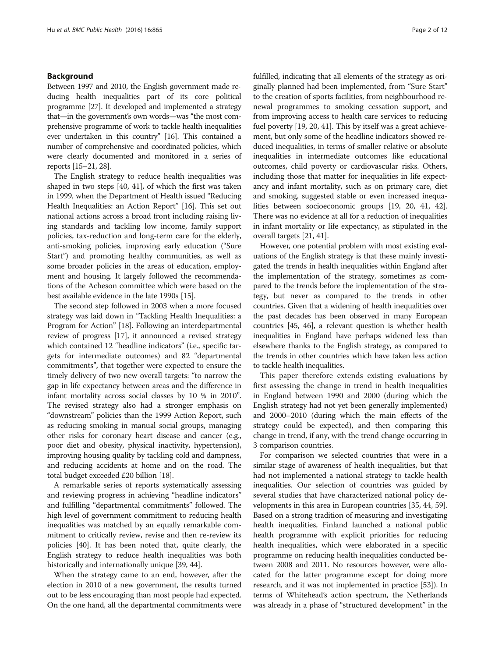# Background

Between 1997 and 2010, the English government made reducing health inequalities part of its core political programme [\[27](#page-11-0)]. It developed and implemented a strategy that—in the government's own words—was "the most comprehensive programme of work to tackle health inequalities ever undertaken in this country" [\[16](#page-10-0)]. This contained a number of comprehensive and coordinated policies, which were clearly documented and monitored in a series of reports [\[15](#page-10-0)–[21,](#page-10-0) [28\]](#page-11-0).

The English strategy to reduce health inequalities was shaped in two steps [[40](#page-11-0), [41](#page-11-0)], of which the first was taken in 1999, when the Department of Health issued "Reducing Health Inequalities: an Action Report" [[16](#page-10-0)]. This set out national actions across a broad front including raising living standards and tackling low income, family support policies, tax-reduction and long-term care for the elderly, anti-smoking policies, improving early education ("Sure Start") and promoting healthy communities, as well as some broader policies in the areas of education, employment and housing. It largely followed the recommendations of the Acheson committee which were based on the best available evidence in the late 1990s [[15](#page-10-0)].

The second step followed in 2003 when a more focused strategy was laid down in "Tackling Health Inequalities: a Program for Action" [[18](#page-10-0)]. Following an interdepartmental review of progress [\[17](#page-10-0)], it announced a revised strategy which contained 12 "headline indicators" (i.e., specific targets for intermediate outcomes) and 82 "departmental commitments", that together were expected to ensure the timely delivery of two new overall targets: "to narrow the gap in life expectancy between areas and the difference in infant mortality across social classes by 10 % in 2010". The revised strategy also had a stronger emphasis on "downstream" policies than the 1999 Action Report, such as reducing smoking in manual social groups, managing other risks for coronary heart disease and cancer (e.g., poor diet and obesity, physical inactivity, hypertension), improving housing quality by tackling cold and dampness, and reducing accidents at home and on the road. The total budget exceeded £20 billion [\[18](#page-10-0)].

A remarkable series of reports systematically assessing and reviewing progress in achieving "headline indicators" and fulfilling "departmental commitments" followed. The high level of government commitment to reducing health inequalities was matched by an equally remarkable commitment to critically review, revise and then re-review its policies [[40](#page-11-0)]. It has been noted that, quite clearly, the English strategy to reduce health inequalities was both historically and internationally unique [\[39, 44](#page-11-0)].

When the strategy came to an end, however, after the election in 2010 of a new government, the results turned out to be less encouraging than most people had expected. On the one hand, all the departmental commitments were fulfilled, indicating that all elements of the strategy as originally planned had been implemented, from "Sure Start" to the creation of sports facilities, from neighbourhood renewal programmes to smoking cessation support, and from improving access to health care services to reducing fuel poverty [[19](#page-10-0), [20,](#page-10-0) [41](#page-11-0)]. This by itself was a great achievement, but only some of the headline indicators showed reduced inequalities, in terms of smaller relative or absolute inequalities in intermediate outcomes like educational outcomes, child poverty or cardiovascular risks. Others, including those that matter for inequalities in life expectancy and infant mortality, such as on primary care, diet and smoking, suggested stable or even increased inequalities between socioeconomic groups [\[19](#page-10-0), [20,](#page-10-0) [41, 42](#page-11-0)]. There was no evidence at all for a reduction of inequalities in infant mortality or life expectancy, as stipulated in the overall targets [\[21](#page-10-0), [41](#page-11-0)].

However, one potential problem with most existing evaluations of the English strategy is that these mainly investigated the trends in health inequalities within England after the implementation of the strategy, sometimes as compared to the trends before the implementation of the strategy, but never as compared to the trends in other countries. Given that a widening of health inequalities over the past decades has been observed in many European countries [[45](#page-11-0), [46](#page-11-0)], a relevant question is whether health inequalities in England have perhaps widened less than elsewhere thanks to the English strategy, as compared to the trends in other countries which have taken less action to tackle health inequalities.

This paper therefore extends existing evaluations by first assessing the change in trend in health inequalities in England between 1990 and 2000 (during which the English strategy had not yet been generally implemented) and 2000–2010 (during which the main effects of the strategy could be expected), and then comparing this change in trend, if any, with the trend change occurring in 3 comparison countries.

For comparison we selected countries that were in a similar stage of awareness of health inequalities, but that had not implemented a national strategy to tackle health inequalities. Our selection of countries was guided by several studies that have characterized national policy developments in this area in European countries [[35, 44, 59](#page-11-0)]. Based on a strong tradition of measuring and investigating health inequalities, Finland launched a national public health programme with explicit priorities for reducing health inequalities, which were elaborated in a specific programme on reducing health inequalities conducted between 2008 and 2011. No resources however, were allocated for the latter programme except for doing more research, and it was not implemented in practice [\[53\]](#page-11-0)). In terms of Whitehead's action spectrum, the Netherlands was already in a phase of "structured development" in the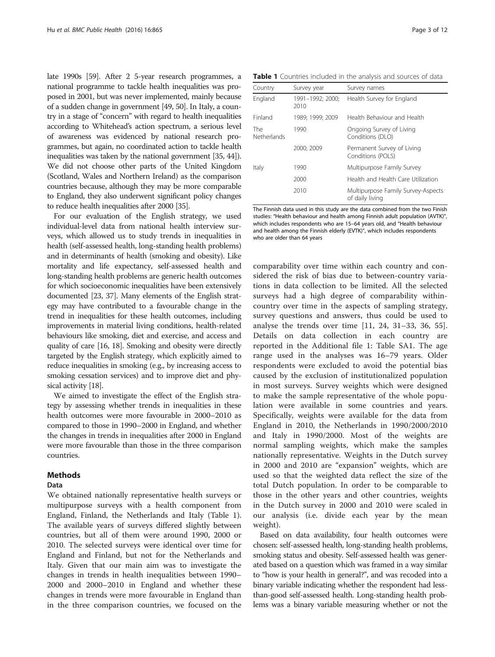late 1990s [[59\]](#page-11-0). After 2 5-year research programmes, a national programme to tackle health inequalities was proposed in 2001, but was never implemented, mainly because of a sudden change in government [\[49, 50\]](#page-11-0). In Italy, a country in a stage of "concern" with regard to health inequalities according to Whitehead's action spectrum, a serious level of awareness was evidenced by national research programmes, but again, no coordinated action to tackle health inequalities was taken by the national government [[35](#page-11-0), [44](#page-11-0)]). We did not choose other parts of the United Kingdom (Scotland, Wales and Northern Ireland) as the comparison countries because, although they may be more comparable to England, they also underwent significant policy changes to reduce health inequalities after 2000 [\[35\]](#page-11-0).

For our evaluation of the English strategy, we used individual-level data from national health interview surveys, which allowed us to study trends in inequalities in health (self-assessed health, long-standing health problems) and in determinants of health (smoking and obesity). Like mortality and life expectancy, self-assessed health and long-standing health problems are generic health outcomes for which socioeconomic inequalities have been extensively documented [[23,](#page-10-0) [37\]](#page-11-0). Many elements of the English strategy may have contributed to a favourable change in the trend in inequalities for these health outcomes, including improvements in material living conditions, health-related behaviours like smoking, diet and exercise, and access and quality of care [\[16](#page-10-0), [18](#page-10-0)]. Smoking and obesity were directly targeted by the English strategy, which explicitly aimed to reduce inequalities in smoking (e.g., by increasing access to smoking cessation services) and to improve diet and physical activity [\[18](#page-10-0)].

We aimed to investigate the effect of the English strategy by assessing whether trends in inequalities in these health outcomes were more favourable in 2000–2010 as compared to those in 1990–2000 in England, and whether the changes in trends in inequalities after 2000 in England were more favourable than those in the three comparison countries.

# Methods

# Data

We obtained nationally representative health surveys or multipurpose surveys with a health component from England, Finland, the Netherlands and Italy (Table 1). The available years of surveys differed slightly between countries, but all of them were around 1990, 2000 or 2010. The selected surveys were identical over time for England and Finland, but not for the Netherlands and Italy. Given that our main aim was to investigate the changes in trends in health inequalities between 1990– 2000 and 2000–2010 in England and whether these changes in trends were more favourable in England than in the three comparison countries, we focused on the

Table 1 Countries included in the analysis and sources of data

| Country                   | Survey year              | Survey names                                          |  |  |
|---------------------------|--------------------------|-------------------------------------------------------|--|--|
| England                   | 1991-1992; 2000;<br>2010 | Health Survey for England                             |  |  |
| Finland                   | 1989; 1999; 2009         | Health Behaviour and Health                           |  |  |
| The<br><b>Netherlands</b> | 1990                     | Ongoing Survey of Living<br>Conditions (DLO)          |  |  |
|                           | 2000; 2009               | Permanent Survey of Living<br>Conditions (POLS)       |  |  |
| Italy                     | 1990                     | Multipurpose Family Survey                            |  |  |
|                           | 2000                     | Health and Health Care Utilization                    |  |  |
|                           | 2010                     | Multipurpose Family Survey-Aspects<br>of daily living |  |  |

The Finnish data used in this study are the data combined from the two Finish studies: "Health behaviour and health among Finnish adult population (AVTK)", which includes respondents who are 15–64 years old, and "Health behaviour and health among the Finnish elderly (EVTK)", which includes respondents who are older than 64 years

comparability over time within each country and considered the risk of bias due to between-country variations in data collection to be limited. All the selected surveys had a high degree of comparability withincountry over time in the aspects of sampling strategy, survey questions and answers, thus could be used to analyse the trends over time [[11, 24,](#page-10-0) [31](#page-11-0)–[33, 36](#page-11-0), [55](#page-11-0)]. Details on data collection in each country are reported in the Additional file [1](#page-10-0): Table SA1. The age range used in the analyses was 16–79 years. Older respondents were excluded to avoid the potential bias caused by the exclusion of institutionalized population in most surveys. Survey weights which were designed to make the sample representative of the whole population were available in some countries and years. Specifically, weights were available for the data from England in 2010, the Netherlands in 1990/2000/2010 and Italy in 1990/2000. Most of the weights are normal sampling weights, which make the samples nationally representative. Weights in the Dutch survey in 2000 and 2010 are "expansion" weights, which are used so that the weighted data reflect the size of the total Dutch population. In order to be comparable to those in the other years and other countries, weights in the Dutch survey in 2000 and 2010 were scaled in our analysis (i.e. divide each year by the mean weight).

Based on data availability, four health outcomes were chosen: self-assessed health, long-standing health problems, smoking status and obesity. Self-assessed health was generated based on a question which was framed in a way similar to "how is your health in general?", and was recoded into a binary variable indicating whether the respondent had lessthan-good self-assessed health. Long-standing health problems was a binary variable measuring whether or not the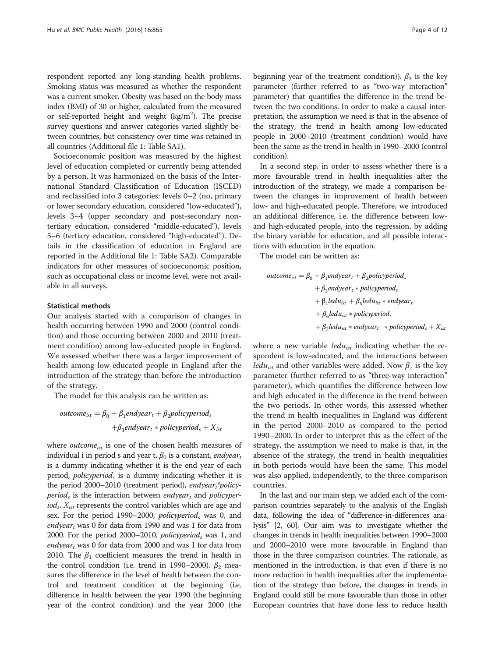respondent reported any long-standing health problems. Smoking status was measured as whether the respondent was a current smoker. Obesity was based on the body mass index (BMI) of 30 or higher, calculated from the measured or self-reported height and weight  $(kg/m<sup>2</sup>)$ . The precise survey questions and answer categories varied slightly between countries, but consistency over time was retained in all countries (Additional file [1:](#page-10-0) Table SA1).

Socioeconomic position was measured by the highest level of education completed or currently being attended by a person. It was harmonized on the basis of the International Standard Classification of Education (ISCED) and reclassified into 3 categories: levels 0–2 (no, primary or lower secondary education, considered "low-educated"), levels 3–4 (upper secondary and post-secondary nontertiary education, considered "middle-educated"), levels 5–6 (tertiary education, considered "high-educated"). Details in the classification of education in England are reported in the Additional file [1:](#page-10-0) Table SA2). Comparable indicators for other measures of socioeconomic position, such as occupational class or income level, were not available in all surveys.

## Statistical methods

Our analysis started with a comparison of changes in health occurring between 1990 and 2000 (control condition) and those occurring between 2000 and 2010 (treatment condition) among low-educated people in England. We assessed whether there was a larger improvement of health among low-educated people in England after the introduction of the strategy than before the introduction of the strategy.

The model for this analysis can be written as:

$$
outcome_{ist} = \beta_0 + \beta_1 endyear_t + \beta_2 policy periods
$$

$$
+\beta_3 endyear_t * policy period_s + X_{ist}
$$

where  $outcome_{ist}$  is one of the chosen health measures of individual i in period s and year t,  $\beta_0$  is a constant, endyeart is a dummy indicating whether it is the end year of each period,  $policyperiod_s$  is a dummy indicating whether it is the period 2000–2010 (treatment period), endyear,\*policy*period<sub>s</sub>* is the interaction between *endyear*<sub>t</sub> and *policyper* $i\omega d_s$ ,  $X_{ist}$  represents the control variables which are age and sex. For the period 1990–2000, policy period<sub>s</sub> was 0, and *endyear* was 0 for data from 1990 and was 1 for data from 2000. For the period 2000–2010, *policyperiod*<sub>s</sub> was 1, and *endyear* was 0 for data from 2000 and was 1 for data from 2010. The  $\beta_1$  coefficient measures the trend in health in the control condition (i.e. trend in 1990–2000).  $\beta_2$  measures the difference in the level of health between the control and treatment condition at the beginning (i.e. difference in health between the year 1990 (the beginning year of the control condition) and the year 2000 (the

beginning year of the treatment condition)).  $\beta_3$  is the key parameter (further referred to as "two-way interaction" parameter) that quantifies the difference in the trend between the two conditions. In order to make a causal interpretation, the assumption we need is that in the absence of the strategy, the trend in health among low-educated people in 2000–2010 (treatment condition) would have been the same as the trend in health in 1990–2000 (control condition).

In a second step, in order to assess whether there is a more favourable trend in health inequalities after the introduction of the strategy, we made a comparison between the changes in improvement of health between low- and high-educated people. Therefore, we introduced an additional difference, i.e. the difference between lowand high-educated people, into the regression, by adding the binary variable for education, and all possible interactions with education in the equation.

The model can be written as:

$$
outcome_{ist} = \beta_0 + \beta_1 endyear_t + \beta_2 policy period_s
$$
  
+  $\beta_3 endyear_t * policyperiod_s$   
+  $\beta_4 ledu_{ist} + \beta_5 ledu_{ist} * endyear_t$   
+  $\beta_6 ledu_{ist} * policyperiod_s$   
+  $\beta_7 ledu_{ist} * endyear_t * policyperiod_s + X_{ist}$ 

where a new variable *ledu<sub>ist</sub>* indicating whether the respondent is low-educated, and the interactions between *ledu*<sub>ist</sub> and other variables were added. Now  $\beta_7$  is the key parameter (further referred to as "three-way interaction" parameter), which quantifies the difference between low and high educated in the difference in the trend between the two periods. In other words, this assessed whether the trend in health inequalities in England was different in the period 2000–2010 as compared to the period 1990–2000. In order to interpret this as the effect of the strategy, the assumption we need to make is that, in the absence of the strategy, the trend in health inequalities in both periods would have been the same. This model was also applied, independently, to the three comparison countries.

In the last and our main step, we added each of the comparison countries separately to the analysis of the English data, following the idea of "difference-in-differences analysis" [\[2,](#page-10-0) [60\]](#page-11-0). Our aim was to investigate whether the changes in trends in health inequalities between 1990–2000 and 2000–2010 were more favourable in England than those in the three comparison countries. The rationale, as mentioned in the introduction, is that even if there is no more reduction in health inequalities after the implementation of the strategy than before, the changes in trends in England could still be more favourable than those in other European countries that have done less to reduce health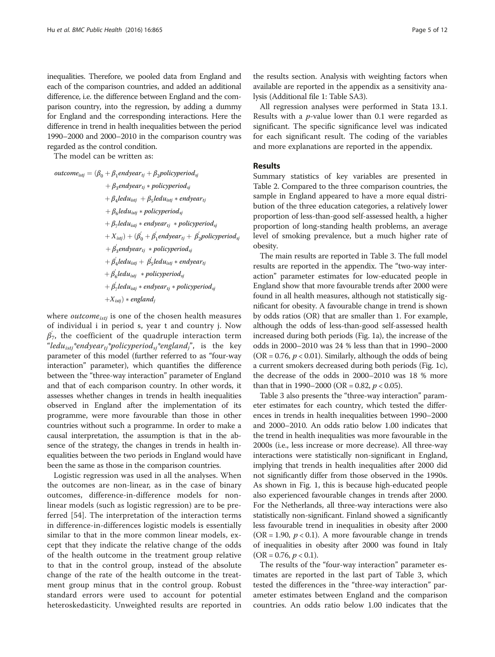inequalities. Therefore, we pooled data from England and each of the comparison countries, and added an additional difference, i.e. the difference between England and the comparison country, into the regression, by adding a dummy for England and the corresponding interactions. Here the difference in trend in health inequalities between the period 1990–2000 and 2000–2010 in the comparison country was regarded as the control condition.

The model can be written as:

$$
outcome_{istj} = (\beta_0 + \beta_1 endyear_{tj} + \beta_2 policy period_{sj}
$$
  
+  $\beta_3 endyear_{tj} * policy period_{sj}$   
+  $\beta_4 ledu_{istj} + \beta_5 ledu_{istj} * endyear_{tj}$   
+  $\beta_6 ledu_{istj} * policyperiod_{sj}$   
+  $\beta_7 ledu_{istj} * endyear_{tj} * policyperiod_{sj}$   
+  $X_{istj}) + (\beta_0' + \beta_1' endyear_{tj} + \beta_2' policy period_{sj}$   
+  $\beta_3' endyear_{tj} * policyperiod_{sj}$   
+  $\beta_4' ledu_{istj} + \beta_5' ledu_{istj} * endyear_{tj}$   
+  $\beta_6' ledu_{istj} * policyperiod_{sj}$   
+  $\beta_7' ledu_{istj} * endyear_{tj} * policyperiod_{sj}$   
+  $X_{istj}) * england_j$ 

where  $outcome_{istj}$  is one of the chosen health measures of individual i in period s, year t and country j. Now  $\beta_{7}^{'}$ , the coefficient of the quadruple interaction term "ledu<sub>isti</sub>\*endyear<sub>ti</sub>\*policyperiod<sub>si</sub>\*england<sub>i</sub>", is the key parameter of this model (further referred to as "four-way interaction" parameter), which quantifies the difference between the "three-way interaction" parameter of England and that of each comparison country. In other words, it assesses whether changes in trends in health inequalities observed in England after the implementation of its programme, were more favourable than those in other countries without such a programme. In order to make a causal interpretation, the assumption is that in the absence of the strategy, the changes in trends in health inequalities between the two periods in England would have been the same as those in the comparison countries.

Logistic regression was used in all the analyses. When the outcomes are non-linear, as in the case of binary outcomes, difference-in-difference models for nonlinear models (such as logistic regression) are to be preferred [\[54](#page-11-0)]. The interpretation of the interaction terms in difference-in-differences logistic models is essentially similar to that in the more common linear models, except that they indicate the relative change of the odds of the health outcome in the treatment group relative to that in the control group, instead of the absolute change of the rate of the health outcome in the treatment group minus that in the control group. Robust standard errors were used to account for potential heteroskedasticity. Unweighted results are reported in

the results section. Analysis with weighting factors when available are reported in the appendix as a sensitivity analysis (Additional file [1](#page-10-0): Table SA3).

All regression analyses were performed in Stata 13.1. Results with a  $p$ -value lower than 0.1 were regarded as significant. The specific significance level was indicated for each significant result. The coding of the variables and more explanations are reported in the appendix.

# Results

Summary statistics of key variables are presented in Table [2](#page-5-0). Compared to the three comparison countries, the sample in England appeared to have a more equal distribution of the three education categories, a relatively lower proportion of less-than-good self-assessed health, a higher proportion of long-standing health problems, an average level of smoking prevalence, but a much higher rate of obesity.

The main results are reported in Table [3](#page-6-0). The full model results are reported in the appendix. The "two-way interaction" parameter estimates for low-educated people in England show that more favourable trends after 2000 were found in all health measures, although not statistically significant for obesity. A favourable change in trend is shown by odds ratios (OR) that are smaller than 1. For example, although the odds of less-than-good self-assessed health increased during both periods (Fig. [1a\)](#page-7-0), the increase of the odds in 2000–2010 was 24 % less than that in 1990–2000 (OR = 0.76,  $p < 0.01$ ). Similarly, although the odds of being a current smokers decreased during both periods (Fig. [1c](#page-7-0)), the decrease of the odds in 2000–2010 was 18 % more than that in 1990–2000 (OR = 0.82,  $p < 0.05$ ).

Table [3](#page-6-0) also presents the "three-way interaction" parameter estimates for each country, which tested the differences in trends in health inequalities between 1990–2000 and 2000–2010. An odds ratio below 1.00 indicates that the trend in health inequalities was more favourable in the 2000s (i.e., less increase or more decrease). All three-way interactions were statistically non-significant in England, implying that trends in health inequalities after 2000 did not significantly differ from those observed in the 1990s. As shown in Fig. [1](#page-7-0), this is because high-educated people also experienced favourable changes in trends after 2000. For the Netherlands, all three-way interactions were also statistically non-significant. Finland showed a significantly less favourable trend in inequalities in obesity after 2000 (OR = 1.90,  $p < 0.1$ ). A more favourable change in trends of inequalities in obesity after 2000 was found in Italy  $(OR = 0.76, p < 0.1).$ 

The results of the "four-way interaction" parameter estimates are reported in the last part of Table [3,](#page-6-0) which tested the differences in the "three-way interaction" parameter estimates between England and the comparison countries. An odds ratio below 1.00 indicates that the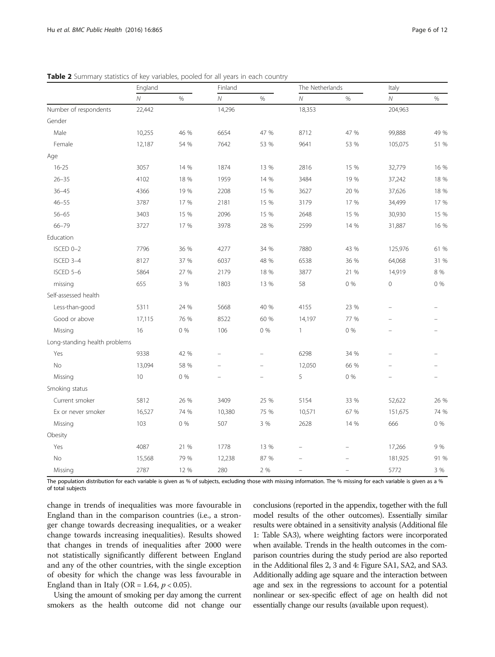|                               | England        |         | Finland        |                          | The Netherlands |       | Italy       |         |
|-------------------------------|----------------|---------|----------------|--------------------------|-----------------|-------|-------------|---------|
|                               | $\overline{N}$ | $\%$    | $\overline{N}$ | $\%$                     | $\cal N$        | $\%$  | N           | %       |
| Number of respondents         | 22,442         |         | 14,296         |                          | 18,353          |       | 204,963     |         |
| Gender                        |                |         |                |                          |                 |       |             |         |
| Male                          | 10,255         | 46 %    | 6654           | 47 %                     | 8712            | 47 %  | 99,888      | 49 %    |
| Female                        | 12,187         | 54 %    | 7642           | 53 %                     | 9641            | 53 %  | 105,075     | 51 %    |
| Age                           |                |         |                |                          |                 |       |             |         |
| $16 - 25$                     | 3057           | 14 %    | 1874           | 13 %                     | 2816            | 15 %  | 32,779      | 16 %    |
| $26 - 35$                     | 4102           | 18 %    | 1959           | 14 %                     | 3484            | 19 %  | 37,242      | 18 %    |
| $36 - 45$                     | 4366           | 19 %    | 2208           | 15 %                     | 3627            | 20 %  | 37,626      | 18 %    |
| $46 - 55$                     | 3787           | 17 %    | 2181           | 15 %                     | 3179            | 17 %  | 34,499      | 17 %    |
| $56 - 65$                     | 3403           | 15 %    | 2096           | 15 %                     | 2648            | 15 %  | 30,930      | 15 %    |
| $66 - 79$                     | 3727           | 17 %    | 3978           | 28 %                     | 2599            | 14 %  | 31,887      | 16 %    |
| Education                     |                |         |                |                          |                 |       |             |         |
| ISCED 0-2                     | 7796           | 36 %    | 4277           | 34 %                     | 7880            | 43 %  | 125,976     | 61 %    |
| ISCED 3-4                     | 8127           | 37 %    | 6037           | 48 %                     | 6538            | 36 %  | 64,068      | 31 %    |
| ISCED 5-6                     | 5864           | 27 %    | 2179           | 18 %                     | 3877            | 21 %  | 14,919      | $8\ \%$ |
| missing                       | 655            | 3 %     | 1803           | 13 %                     | 58              | $0\%$ | $\mathbf 0$ | $0\%$   |
| Self-assessed health          |                |         |                |                          |                 |       |             |         |
| Less-than-good                | 5311           | 24 %    | 5668           | 40 %                     | 4155            | 23 %  |             |         |
| Good or above                 | 17,115         | 76 %    | 8522           | 60 %                     | 14,197          | 77 %  |             |         |
| Missing                       | 16             | 0%      | 106            | 0%                       | $\mathbf{1}$    | 0%    |             |         |
| Long-standing health problems |                |         |                |                          |                 |       |             |         |
| Yes                           | 9338           | 42 %    |                |                          | 6298            | 34 %  |             |         |
| No                            | 13,094         | 58 %    | $\equiv$       | $\equiv$                 | 12,050          | 66 %  | $\equiv$    |         |
| Missing                       | 10             | 0%      | $\overline{ }$ | $\overline{\phantom{m}}$ | 5               | 0%    |             |         |
| Smoking status                |                |         |                |                          |                 |       |             |         |
| Current smoker                | 5812           | 26 %    | 3409           | 25 %                     | 5154            | 33 %  | 52,622      | 26 %    |
| Ex or never smoker            | 16,527         | 74 %    | 10,380         | 75 %                     | 10,571          | 67 %  | 151,675     | 74 %    |
| Missing                       | 103            | $0\ \%$ | 507            | 3 %                      | 2628            | 14 %  | 666         | $0\%$   |
| Obesity                       |                |         |                |                          |                 |       |             |         |
| Yes                           | 4087           | 21 %    | 1778           | 13 %                     |                 |       | 17,266      | 9%      |
| No                            | 15,568         | 79 %    | 12,238         | 87 %                     |                 |       | 181,925     | 91 %    |
| Missing                       | 2787           | 12 %    | 280            | 2 %                      | -               |       | 5772        | 3 %     |

<span id="page-5-0"></span>Table 2 Summary statistics of key variables, pooled for all years in each country

The population distribution for each variable is given as % of subjects, excluding those with missing information. The % missing for each variable is given as a % of total subjects

change in trends of inequalities was more favourable in England than in the comparison countries (i.e., a stronger change towards decreasing inequalities, or a weaker change towards increasing inequalities). Results showed that changes in trends of inequalities after 2000 were not statistically significantly different between England and any of the other countries, with the single exception of obesity for which the change was less favourable in England than in Italy (OR = 1.64,  $p < 0.05$ ).

Using the amount of smoking per day among the current smokers as the health outcome did not change our conclusions (reported in the appendix, together with the full model results of the other outcomes). Essentially similar results were obtained in a sensitivity analysis (Additional file [1](#page-10-0): Table SA3), where weighting factors were incorporated when available. Trends in the health outcomes in the comparison countries during the study period are also reported in the Additional files [2, 3](#page-10-0) and [4:](#page-10-0) Figure SA1, SA2, and SA3. Additionally adding age square and the interaction between age and sex in the regressions to account for a potential nonlinear or sex-specific effect of age on health did not essentially change our results (available upon request).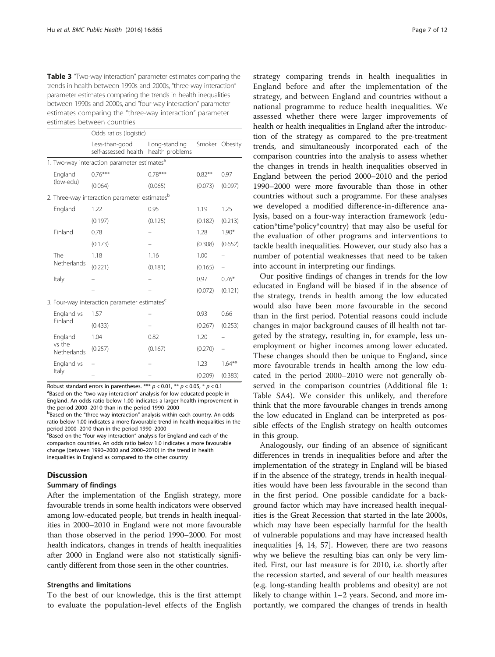<span id="page-6-0"></span>**Table 3** "Two-way interaction" parameter estimates comparing the trends in health between 1990s and 2000s, "three-way interaction" parameter estimates comparing the trends in health inequalities between 1990s and 2000s, and "four-way interaction" parameter estimates comparing the "three-way interaction" parameter estimates between countries

|                                                           |                                                         | Odds ratios (logistic)                                   |                                  |           |                |  |  |  |  |  |
|-----------------------------------------------------------|---------------------------------------------------------|----------------------------------------------------------|----------------------------------|-----------|----------------|--|--|--|--|--|
|                                                           |                                                         | Less-than-good<br>self-assessed health                   | Long-standing<br>health problems |           | Smoker Obesity |  |  |  |  |  |
|                                                           | 1. Two-way interaction parameter estimates <sup>a</sup> |                                                          |                                  |           |                |  |  |  |  |  |
|                                                           | England<br>(low-edu)                                    | $0.76***$                                                | $0.78***$                        | $0.82***$ | 0.97           |  |  |  |  |  |
|                                                           |                                                         | (0.064)                                                  | (0.065)                          | (0.073)   | (0.097)        |  |  |  |  |  |
| 2. Three-way interaction parameter estimates <sup>b</sup> |                                                         |                                                          |                                  |           |                |  |  |  |  |  |
|                                                           | England                                                 | 1.22                                                     | 0.95                             | 1.19      | 1.25           |  |  |  |  |  |
|                                                           |                                                         | (0.197)                                                  | (0.125)                          | (0.182)   | (0.213)        |  |  |  |  |  |
|                                                           | Finland                                                 | 0.78                                                     |                                  | 1.28      | $1.90*$        |  |  |  |  |  |
|                                                           |                                                         | (0.173)                                                  |                                  | (0.308)   | (0.652)        |  |  |  |  |  |
|                                                           | The<br>Netherlands                                      | 1.18                                                     | 1.16                             | 1.00      |                |  |  |  |  |  |
|                                                           |                                                         | (0.221)                                                  | (0.181)                          | (0.165)   |                |  |  |  |  |  |
|                                                           | Italy                                                   |                                                          |                                  | 0.97      | $0.76*$        |  |  |  |  |  |
|                                                           |                                                         |                                                          |                                  | (0.072)   | (0.121)        |  |  |  |  |  |
|                                                           |                                                         | 3. Four-way interaction parameter estimates <sup>c</sup> |                                  |           |                |  |  |  |  |  |
|                                                           | England vs                                              | 1.57                                                     |                                  | 0.93      | 0.66           |  |  |  |  |  |
|                                                           | Finland                                                 | (0.433)                                                  |                                  | (0.267)   | (0.253)        |  |  |  |  |  |
|                                                           | England<br>vs the<br>Netherlands                        | 1.04                                                     | 0.82                             | 1.20      |                |  |  |  |  |  |
|                                                           |                                                         | (0.257)                                                  | (0.167)                          | (0.270)   |                |  |  |  |  |  |
|                                                           | England vs<br>Italy                                     |                                                          |                                  | 1.23      | $1.64***$      |  |  |  |  |  |
|                                                           |                                                         |                                                          |                                  | (0.209)   | (0.383)        |  |  |  |  |  |

Robust standard errors in parentheses. \*\*\*  $p < 0.01$ , \*\*  $p < 0.05$ , \*  $p < 0.1$ <sup>a</sup>Based on the "two-way interaction" analysis for low-educated people in England. An odds ratio below 1.00 indicates a larger health improvement in the period  $2000-2010$  than in the period  $1990-2000$ 

bBased on the "three-way interaction" analysis within each country. An odds ratio below 1.00 indicates a more favourable trend in health inequalities in the period 2000-2010 than in the period 1990-2000 Based on the "four-way interaction" analysis for England and each of the comparison countries. An odds ratio below 1.0 indicates a more favourable

change (between 1990–2000 and 2000–2010) in the trend in health inequalities in England as compared to the other country

# **Discussion**

# Summary of findings

After the implementation of the English strategy, more favourable trends in some health indicators were observed among low-educated people, but trends in health inequalities in 2000–2010 in England were not more favourable than those observed in the period 1990–2000. For most health indicators, changes in trends of health inequalities after 2000 in England were also not statistically significantly different from those seen in the other countries.

## Strengths and limitations

To the best of our knowledge, this is the first attempt to evaluate the population-level effects of the English

strategy comparing trends in health inequalities in England before and after the implementation of the strategy, and between England and countries without a national programme to reduce health inequalities. We assessed whether there were larger improvements of health or health inequalities in England after the introduction of the strategy as compared to the pre-treatment trends, and simultaneously incorporated each of the comparison countries into the analysis to assess whether the changes in trends in health inequalities observed in England between the period 2000–2010 and the period 1990–2000 were more favourable than those in other countries without such a programme. For these analyses we developed a modified difference-in-difference analysis, based on a four-way interaction framework (education\*time\*policy\*country) that may also be useful for the evaluation of other programs and interventions to tackle health inequalities. However, our study also has a number of potential weaknesses that need to be taken into account in interpreting our findings.

Our positive findings of changes in trends for the low educated in England will be biased if in the absence of the strategy, trends in health among the low educated would also have been more favourable in the second than in the first period. Potential reasons could include changes in major background causes of ill health not targeted by the strategy, resulting in, for example, less unemployment or higher incomes among lower educated. These changes should then be unique to England, since more favourable trends in health among the low educated in the period 2000–2010 were not generally observed in the comparison countries (Additional file [1](#page-10-0): Table SA4). We consider this unlikely, and therefore think that the more favourable changes in trends among the low educated in England can be interpreted as possible effects of the English strategy on health outcomes in this group.

Analogously, our finding of an absence of significant differences in trends in inequalities before and after the implementation of the strategy in England will be biased if in the absence of the strategy, trends in health inequalities would have been less favourable in the second than in the first period. One possible candidate for a background factor which may have increased health inequalities is the Great Recession that started in the late 2000s, which may have been especially harmful for the health of vulnerable populations and may have increased health inequalities [\[4](#page-10-0), [14](#page-10-0), [57](#page-11-0)]. However, there are two reasons why we believe the resulting bias can only be very limited. First, our last measure is for 2010, i.e. shortly after the recession started, and several of our health measures (e.g. long-standing health problems and obesity) are not likely to change within 1–2 years. Second, and more importantly, we compared the changes of trends in health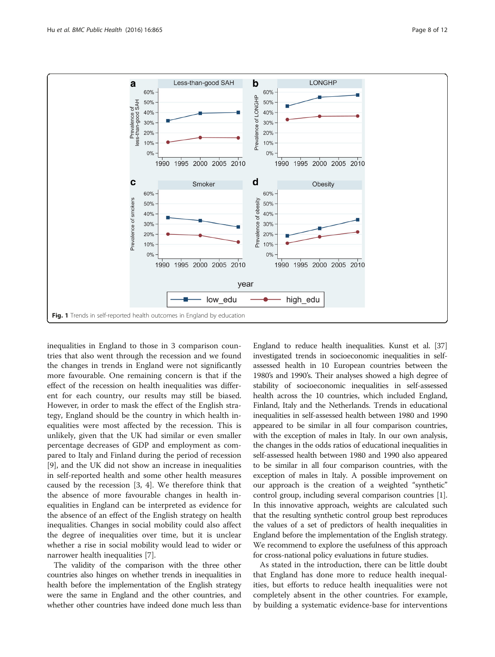<span id="page-7-0"></span>

inequalities in England to those in 3 comparison countries that also went through the recession and we found the changes in trends in England were not significantly more favourable. One remaining concern is that if the effect of the recession on health inequalities was different for each country, our results may still be biased. However, in order to mask the effect of the English strategy, England should be the country in which health inequalities were most affected by the recession. This is unlikely, given that the UK had similar or even smaller percentage decreases of GDP and employment as compared to Italy and Finland during the period of recession [[9\]](#page-10-0), and the UK did not show an increase in inequalities in self-reported health and some other health measures caused by the recession [[3, 4\]](#page-10-0). We therefore think that the absence of more favourable changes in health inequalities in England can be interpreted as evidence for the absence of an effect of the English strategy on health inequalities. Changes in social mobility could also affect the degree of inequalities over time, but it is unclear whether a rise in social mobility would lead to wider or narrower health inequalities [\[7](#page-10-0)].

The validity of the comparison with the three other countries also hinges on whether trends in inequalities in health before the implementation of the English strategy were the same in England and the other countries, and whether other countries have indeed done much less than

England to reduce health inequalities. Kunst et al. [\[37](#page-11-0)] investigated trends in socioeconomic inequalities in selfassessed health in 10 European countries between the 1980's and 1990's. Their analyses showed a high degree of stability of socioeconomic inequalities in self-assessed health across the 10 countries, which included England, Finland, Italy and the Netherlands. Trends in educational inequalities in self-assessed health between 1980 and 1990 appeared to be similar in all four comparison countries, with the exception of males in Italy. In our own analysis, the changes in the odds ratios of educational inequalities in self-assessed health between 1980 and 1990 also appeared to be similar in all four comparison countries, with the exception of males in Italy. A possible improvement on our approach is the creation of a weighted "synthetic" control group, including several comparison countries [[1](#page-10-0)]. In this innovative approach, weights are calculated such that the resulting synthetic control group best reproduces the values of a set of predictors of health inequalities in England before the implementation of the English strategy. We recommend to explore the usefulness of this approach for cross-national policy evaluations in future studies.

As stated in the introduction, there can be little doubt that England has done more to reduce health inequalities, but efforts to reduce health inequalities were not completely absent in the other countries. For example, by building a systematic evidence-base for interventions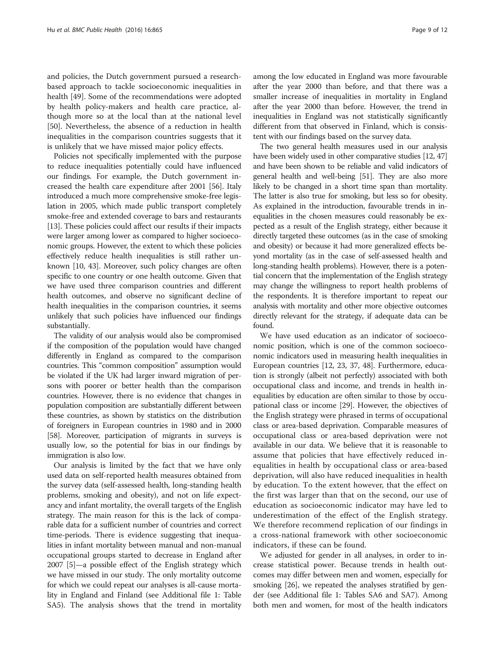and policies, the Dutch government pursued a researchbased approach to tackle socioeconomic inequalities in health [\[49\]](#page-11-0). Some of the recommendations were adopted by health policy-makers and health care practice, although more so at the local than at the national level [[50\]](#page-11-0). Nevertheless, the absence of a reduction in health inequalities in the comparison countries suggests that it is unlikely that we have missed major policy effects.

Policies not specifically implemented with the purpose to reduce inequalities potentially could have influenced our findings. For example, the Dutch government increased the health care expenditure after 2001 [[56](#page-11-0)]. Italy introduced a much more comprehensive smoke-free legislation in 2005, which made public transport completely smoke-free and extended coverage to bars and restaurants [[13](#page-10-0)]. These policies could affect our results if their impacts were larger among lower as compared to higher socioeconomic groups. However, the extent to which these policies effectively reduce health inequalities is still rather unknown [[10](#page-10-0), [43\]](#page-11-0). Moreover, such policy changes are often specific to one country or one health outcome. Given that we have used three comparison countries and different health outcomes, and observe no significant decline of health inequalities in the comparison countries, it seems unlikely that such policies have influenced our findings substantially.

The validity of our analysis would also be compromised if the composition of the population would have changed differently in England as compared to the comparison countries. This "common composition" assumption would be violated if the UK had larger inward migration of persons with poorer or better health than the comparison countries. However, there is no evidence that changes in population composition are substantially different between these countries, as shown by statistics on the distribution of foreigners in European countries in 1980 and in 2000 [[58](#page-11-0)]. Moreover, participation of migrants in surveys is usually low, so the potential for bias in our findings by immigration is also low.

Our analysis is limited by the fact that we have only used data on self-reported health measures obtained from the survey data (self-assessed health, long-standing health problems, smoking and obesity), and not on life expectancy and infant mortality, the overall targets of the English strategy. The main reason for this is the lack of comparable data for a sufficient number of countries and correct time-periods. There is evidence suggesting that inequalities in infant mortality between manual and non-manual occupational groups started to decrease in England after 2007 [\[5\]](#page-10-0)—a possible effect of the English strategy which we have missed in our study. The only mortality outcome for which we could repeat our analyses is all-cause mortality in England and Finland (see Additional file [1:](#page-10-0) Table SA5). The analysis shows that the trend in mortality among the low educated in England was more favourable after the year 2000 than before, and that there was a smaller increase of inequalities in mortality in England after the year 2000 than before. However, the trend in inequalities in England was not statistically significantly different from that observed in Finland, which is consistent with our findings based on the survey data.

The two general health measures used in our analysis have been widely used in other comparative studies [\[12](#page-10-0), [47](#page-11-0)] and have been shown to be reliable and valid indicators of general health and well-being [[51](#page-11-0)]. They are also more likely to be changed in a short time span than mortality. The latter is also true for smoking, but less so for obesity. As explained in the introduction, favourable trends in inequalities in the chosen measures could reasonably be expected as a result of the English strategy, either because it directly targeted these outcomes (as in the case of smoking and obesity) or because it had more generalized effects beyond mortality (as in the case of self-assessed health and long-standing health problems). However, there is a potential concern that the implementation of the English strategy may change the willingness to report health problems of the respondents. It is therefore important to repeat our analysis with mortality and other more objective outcomes directly relevant for the strategy, if adequate data can be found.

We have used education as an indicator of socioeconomic position, which is one of the common socioeconomic indicators used in measuring health inequalities in European countries [[12](#page-10-0), [23](#page-10-0), [37, 48](#page-11-0)]. Furthermore, education is strongly (albeit not perfectly) associated with both occupational class and income, and trends in health inequalities by education are often similar to those by occupational class or income [[29](#page-11-0)]. However, the objectives of the English strategy were phrased in terms of occupational class or area-based deprivation. Comparable measures of occupational class or area-based deprivation were not available in our data. We believe that it is reasonable to assume that policies that have effectively reduced inequalities in health by occupational class or area-based deprivation, will also have reduced inequalities in health by education. To the extent however, that the effect on the first was larger than that on the second, our use of education as socioeconomic indicator may have led to underestimation of the effect of the English strategy. We therefore recommend replication of our findings in a cross-national framework with other socioeconomic indicators, if these can be found.

We adjusted for gender in all analyses, in order to increase statistical power. Because trends in health outcomes may differ between men and women, especially for smoking [[26](#page-10-0)], we repeated the analyses stratified by gender (see Additional file [1](#page-10-0): Tables SA6 and SA7). Among both men and women, for most of the health indicators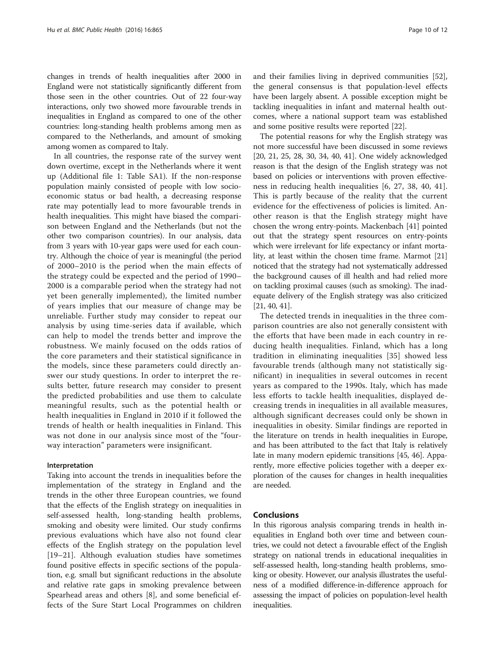changes in trends of health inequalities after 2000 in England were not statistically significantly different from those seen in the other countries. Out of 22 four-way interactions, only two showed more favourable trends in inequalities in England as compared to one of the other countries: long-standing health problems among men as compared to the Netherlands, and amount of smoking among women as compared to Italy.

In all countries, the response rate of the survey went down overtime, except in the Netherlands where it went up (Additional file [1](#page-10-0): Table SA1). If the non-response population mainly consisted of people with low socioeconomic status or bad health, a decreasing response rate may potentially lead to more favourable trends in health inequalities. This might have biased the comparison between England and the Netherlands (but not the other two comparison countries). In our analysis, data from 3 years with 10-year gaps were used for each country. Although the choice of year is meaningful (the period of 2000–2010 is the period when the main effects of the strategy could be expected and the period of 1990– 2000 is a comparable period when the strategy had not yet been generally implemented), the limited number of years implies that our measure of change may be unreliable. Further study may consider to repeat our analysis by using time-series data if available, which can help to model the trends better and improve the robustness. We mainly focused on the odds ratios of the core parameters and their statistical significance in the models, since these parameters could directly answer our study questions. In order to interpret the results better, future research may consider to present the predicted probabilities and use them to calculate meaningful results, such as the potential health or health inequalities in England in 2010 if it followed the trends of health or health inequalities in Finland. This was not done in our analysis since most of the "fourway interaction" parameters were insignificant.

# Interpretation

Taking into account the trends in inequalities before the implementation of the strategy in England and the trends in the other three European countries, we found that the effects of the English strategy on inequalities in self-assessed health, long-standing health problems, smoking and obesity were limited. Our study confirms previous evaluations which have also not found clear effects of the English strategy on the population level [[19](#page-10-0)–[21](#page-10-0)]. Although evaluation studies have sometimes found positive effects in specific sections of the population, e.g. small but significant reductions in the absolute and relative rate gaps in smoking prevalence between Spearhead areas and others [[8\]](#page-10-0), and some beneficial effects of the Sure Start Local Programmes on children and their families living in deprived communities [\[52](#page-11-0)], the general consensus is that population-level effects have been largely absent. A possible exception might be tackling inequalities in infant and maternal health outcomes, where a national support team was established and some positive results were reported [\[22](#page-10-0)].

The potential reasons for why the English strategy was not more successful have been discussed in some reviews [[20](#page-10-0), [21, 25,](#page-10-0) [28](#page-11-0), [30](#page-11-0), [34](#page-11-0), [40, 41\]](#page-11-0). One widely acknowledged reason is that the design of the English strategy was not based on policies or interventions with proven effectiveness in reducing health inequalities [[6,](#page-10-0) [27](#page-11-0), [38](#page-11-0), [40, 41](#page-11-0)]. This is partly because of the reality that the current evidence for the effectiveness of policies is limited. Another reason is that the English strategy might have chosen the wrong entry-points. Mackenbach [\[41\]](#page-11-0) pointed out that the strategy spent resources on entry-points which were irrelevant for life expectancy or infant mortality, at least within the chosen time frame. Marmot [[21](#page-10-0)] noticed that the strategy had not systematically addressed the background causes of ill health and had relied more on tackling proximal causes (such as smoking). The inadequate delivery of the English strategy was also criticized [[21](#page-10-0), [40, 41](#page-11-0)].

The detected trends in inequalities in the three comparison countries are also not generally consistent with the efforts that have been made in each country in reducing health inequalities. Finland, which has a long tradition in eliminating inequalities [[35\]](#page-11-0) showed less favourable trends (although many not statistically significant) in inequalities in several outcomes in recent years as compared to the 1990s. Italy, which has made less efforts to tackle health inequalities, displayed decreasing trends in inequalities in all available measures, although significant decreases could only be shown in inequalities in obesity. Similar findings are reported in the literature on trends in health inequalities in Europe, and has been attributed to the fact that Italy is relatively late in many modern epidemic transitions [[45](#page-11-0), [46](#page-11-0)]. Apparently, more effective policies together with a deeper exploration of the causes for changes in health inequalities are needed.

# Conclusions

In this rigorous analysis comparing trends in health inequalities in England both over time and between countries, we could not detect a favourable effect of the English strategy on national trends in educational inequalities in self-assessed health, long-standing health problems, smoking or obesity. However, our analysis illustrates the usefulness of a modified difference-in-difference approach for assessing the impact of policies on population-level health inequalities.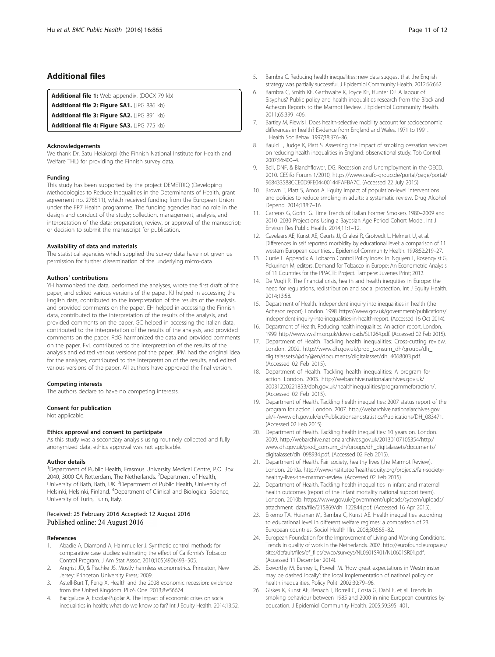# <span id="page-10-0"></span>Additional files

[Additional file 1:](dx.doi.org/10.1186/s12889-016-3505-z) Web appendix. (DOCX 79 kb)

[Additional file 2: Figure SA1.](dx.doi.org/10.1186/s12889-016-3505-z) (JPG 886 kb)

[Additional file 3: Figure SA2.](dx.doi.org/10.1186/s12889-016-3505-z) (JPG 891 kb)

[Additional file 4: Figure SA3.](dx.doi.org/10.1186/s12889-016-3505-z) (JPG 775 kb)

#### Acknowledgements

We thank Dr. Satu Helakorpi (the Finnish National Institute for Health and Welfare THL) for providing the Finnish survey data.

#### Funding

This study has been supported by the project DEMETRIQ (Developing Methodologies to Reduce Inequalities in the Determinants of Health, grant agreement no. 278511), which received funding from the European Union under the FP7 Health programme. The funding agencies had no role in the design and conduct of the study; collection, management, analysis, and interpretation of the data; preparation, review, or approval of the manuscript; or decision to submit the manuscript for publication.

#### Availability of data and materials

The statistical agencies which supplied the survey data have not given us permission for further dissemination of the underlying micro-data.

#### Authors' contributions

YH harmonized the data, performed the analyses, wrote the first draft of the paper, and edited various versions of the paper. KJ helped in accessing the English data, contributed to the interpretation of the results of the analysis, and provided comments on the paper. EH helped in accessing the Finnish data, contributed to the interpretation of the results of the analysis, and provided comments on the paper. GC helped in accessing the Italian data, contributed to the interpretation of the results of the analysis, and provided comments on the paper. RdG harmonized the data and provided comments on the paper. FvL contributed to the interpretation of the results of the analysis and edited various versions pof the paper. JPM had the original idea for the analyses, contributed to the interpretation of the results, and edited various versions of the paper. All authors have approved the final version.

#### Competing interests

The authors declare to have no competing interests.

#### Consent for publication

Not applicable.

#### Ethics approval and consent to participate

As this study was a secondary analysis using routinely collected and fully anonymized data, ethics approval was not applicable.

#### Author details

<sup>1</sup>Department of Public Health, Erasmus University Medical Centre, P.O. Box 2040, 3000 CA Rotterdam, The Netherlands. <sup>2</sup>Department of Health, University of Bath, Bath, UK. <sup>3</sup>Department of Public Health, University of Helsinki, Helsinki, Finland. <sup>4</sup>Department of Clinical and Biological Science, University of Turin, Turin, Italy.

#### Received: 25 February 2016 Accepted: 12 August 2016 Published online: 24 August 2016

#### References

- 1. Abadie A, Diamond A, Hainmueller J. Synthetic control methods for comparative case studies: estimating the effect of California's Tobacco Control Program. J Am Stat Assoc. 2010;105(490):493–505.
- 2. Angrist JD, & Pischke JS. Mostly harmless econometrics. Princeton, New Jersey: Princeton University Press; 2009.
- 3. Astell-Burt T, Feng X. Health and the 2008 economic recession: evidence from the United Kingdom. PLoS One. 2013;8:e56674.
- 4. Bacigalupe A, Escolar-Pujolar A. The impact of economic crises on social inequalities in health: what do we know so far? Int J Equity Health. 2014;13:52.
- 5. Bambra C. Reducing health inequalities: new data suggest that the English strategy was partially successful. J Epidemiol Community Health. 2012;66:662.
- 6. Bambra C, Smith KE, Garthwaite K, Joyce KE, Hunter DJ. A labour of Sisyphus? Public policy and health inequalities research from the Black and Acheson Reports to the Marmot Review. J Epidemiol Community Health. 2011;65:399–406.
- 7. Bartley M, Plewis I. Does health-selective mobility account for socioeconomic differences in health? Evidence from England and Wales, 1971 to 1991. J Health Soc Behav. 1997;38:376–86.
- 8. Bauld L, Judge K, Platt S. Assessing the impact of smoking cessation services on reducing health inequalities in England: observational study. Tob Control. 2007;16:400–4.
- 9. Bell, DNF, & Blanchflower, DG. Recession and Unemployment in the OECD. 2010. CESifo Forum 1/2010, [https://www.cesifo-group.de/portal/page/portal/](https://www.cesifo-group.de/portal/page/portal/968433588CCE0D9FE04400144FAFBA7C) [968433588CCE0D9FE04400144FAFBA7C.](https://www.cesifo-group.de/portal/page/portal/968433588CCE0D9FE04400144FAFBA7C) (Accessed 22 July 2015).
- 10. Brown T, Platt S, Amos A. Equity impact of population-level interventions and policies to reduce smoking in adults: a systematic review. Drug Alcohol Depend. 2014;138:7–16.
- 11. Carreras G, Gorini G. Time Trends of Italian Former Smokers 1980–2009 and 2010–2030 Projections Using a Bayesian Age Period Cohort Model. Int J Environ Res Public Health. 2014;11:1–12.
- 12. Cavelaars AE, Kunst AE, Geurts JJ, Crialesi R, Grotvedt L, Helmert U, et al. Differences in self reported morbidity by educational level: a comparison of 11 western European countries. J Epidemiol Community Health. 1998;52:219–27.
- 13. Currie L. Appendix A. Tobacco Control Policy Index. In: Nguyen L, Rosenqvist G, Pekurinen M, editors. Demand for Tobacco in Europe: An Econometric Analysis of 11 Countries for the PPACTE Project. Tampere: Juvenes Print; 2012.
- 14. De Vogli R. The financial crisis, health and health inequities in Europe: the need for regulations, redistribution and social protection. Int J Equity Health. 2014;13:58.
- 15. Department of Health. Independent inquiry into inequalities in health (the Acheson report). London. 1998. [https://www.gov.uk/government/publications/](https://www.gov.uk/government/publications/independent-inquiry-into-inequalities-in-health-report) [independent-inquiry-into-inequalities-in-health-report](https://www.gov.uk/government/publications/independent-inquiry-into-inequalities-in-health-report). (Accessed 16 Oct 2014).
- 16. Department of Health. Reducing health inequalities: An action report. London. 1999. [http://www.swslim.org.uk/downloads/SL1264.pdf.](http://www.swslim.org.uk/downloads/SL1264.pdf) (Accessed 02 Feb 2015).
- 17. Department of Health. Tackling health inequalities: Cross-cutting review. London. 2002. [http://www.dh.gov.uk/prod\\_consum\\_dh/groups/dh\\_](http://www.dh.gov.uk/prod_consum_dh/groups/dh_digitalassets/@dh/@en/documents/digitalasset/dh_4068003.pdf) [digitalassets/@dh/@en/documents/digitalasset/dh\\_4068003.pdf.](http://www.dh.gov.uk/prod_consum_dh/groups/dh_digitalassets/@dh/@en/documents/digitalasset/dh_4068003.pdf) (Accessed 02 Feb 2015).
- 18. Department of Health. Tackling health inequalities: A program for action. London. 2003. [http://webarchive.nationalarchives.gov.uk/](http://webarchive.nationalarchives.gov.uk/20031220221853/doh.gov.uk/healthinequalities/programmeforaction/) [20031220221853/doh.gov.uk/healthinequalities/programmeforaction/](http://webarchive.nationalarchives.gov.uk/20031220221853/doh.gov.uk/healthinequalities/programmeforaction/). (Accessed 02 Feb 2015).
- 19. Department of Health. Tackling health inequalities: 2007 status report of the program for action. London. 2007. [http://webarchive.nationalarchives.gov.](http://webarchive.nationalarchives.gov.uk/+/www.dh.gov.uk/en/Publicationsandstatistics/Publications/DH_083471) [uk/+/www.dh.gov.uk/en/Publicationsandstatistics/Publications/DH\\_083471](http://webarchive.nationalarchives.gov.uk/+/www.dh.gov.uk/en/Publicationsandstatistics/Publications/DH_083471). (Accessed 02 Feb 2015).
- 20. Department of Health. Tackling health inequalities: 10 years on. London. 2009. [http://webarchive.nationalarchives.gov.uk/20130107105354/http:/](http://webarchive.nationalarchives.gov.uk/20130107105354/http:/www.dh.gov.uk/prod_consum_dh/groups/dh_digitalassets/documents/digitalasset/dh_098934.pdf) [www.dh.gov.uk/prod\\_consum\\_dh/groups/dh\\_digitalassets/documents/](http://webarchive.nationalarchives.gov.uk/20130107105354/http:/www.dh.gov.uk/prod_consum_dh/groups/dh_digitalassets/documents/digitalasset/dh_098934.pdf) [digitalasset/dh\\_098934.pdf](http://webarchive.nationalarchives.gov.uk/20130107105354/http:/www.dh.gov.uk/prod_consum_dh/groups/dh_digitalassets/documents/digitalasset/dh_098934.pdf). (Accessed 02 Feb 2015).
- 21. Department of Health. Fair society, healthy lives (the Marmot Review). London. 2010a. [http://www.instituteofhealthequity.org/projects/fair-society](http://www.instituteofhealthequity.org/projects/fair-society-healthy-lives-the-marmot-review)[healthy-lives-the-marmot-review.](http://www.instituteofhealthequity.org/projects/fair-society-healthy-lives-the-marmot-review) (Accessed 02 Feb 2015).
- 22. Department of Health. Tackling health inequalities in infant and maternal health outcomes (report of the infant mortality national support team). London. 2010b. [https://www.gov.uk/government/uploads/system/uploads/](https://www.gov.uk/government/uploads/system/uploads/attachment_data/file/215869/dh_122844.pdf) [attachment\\_data/file/215869/dh\\_122844.pdf.](https://www.gov.uk/government/uploads/system/uploads/attachment_data/file/215869/dh_122844.pdf) (Accessed 16 Apr 2015).
- 23. Eikemo TA, Huisman M, Bambra C, Kunst AE. Health inequalities according to educational level in different welfare regimes: a comparison of 23 European countries. Sociol Health Illn. 2008;30:565–82.
- 24. European Foundation for the Improvement of Living and Working Conditions. Trends in quality of work in the Netherlands. 2007. [http://eurofound.europa.eu/](http://eurofound.europa.eu/sites/default/files/ef_files/ewco/surveys/NL0601SR01/NL0601SR01.pdf) [sites/default/files/ef\\_files/ewco/surveys/NL0601SR01/NL0601SR01.pdf](http://eurofound.europa.eu/sites/default/files/ef_files/ewco/surveys/NL0601SR01/NL0601SR01.pdf). (Accessed 11 December 2014).
- 25. Exworthy M, Berney L, Powell M. 'How great expectations in Westminster may be dashed locally': the local implementation of national policy on health inequalities. Policy Polit. 2002;30:79–96.
- 26. Giskes K, Kunst AE, Benach J, Borrell C, Costa G, Dahl E, et al. Trends in smoking behaviour between 1985 and 2000 in nine European countries by education. J Epidemiol Community Health. 2005;59:395–401.